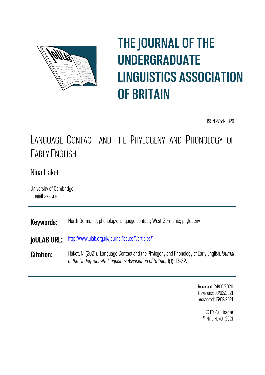

# **THE JOURNAL OF THE UNDERGRADUATE LINGUISTICS ASSOCIATION OF BRITAIN**

ISSN 2754-0820

## LANGUAGE CONTACT AND THE PHYLOGENY AND PHONOLOGY OF **EARI Y ENGLISH**

## Nina Haket

University of Cambridge nina@haket.net

**Keywords:** North Germanic; phonology; language contact; West Germanic; phylogeny

http://www.ulab.org.uk/journal/issues/1/articles/1 **JoULAB URL:** 

Haket, N. (2021). Language Contact and the Phylogeny and Phonology of Early English. Journal **Citation:** of the Undergraduate Linguistics Association of Britain, 1(1), 13-32.

> Received: 24/06/2020 Revisions: 03/02/2021 Accepted: 15/02/2021

> > CC BY 4.0 License <sup>©</sup> Nina Haket, 2021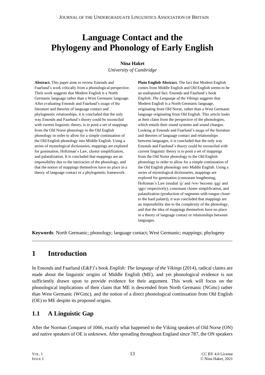## **Language Contact and the Phylogeny and Phonology of Early English**

#### **Nina Haket**

*University of Cambridge*

**Abstract.** This paper aims to review Emonds and Faarlund's work critically from a phonological perspective. Their work suggests that Modern English is a North Germanic language rather than a West Germanic language. After evaluating Emonds and Faarlund's usage of the literature and theories of language contact and phylogenetic relationships, it is concluded that the only way Emonds and Faarlund's theory could be reconciled with current linguistic theory, is to posit a set of mappings from the Old Norse phonology to the Old English phonology in order to allow for a simple continuation of the Old English phonology into Middle English. Using a series of etymological dictionaries, mappings are explored for gemination, Holtzman's Law, cluster simplification, and palatalization. It is concluded that mappings are an impossibility due to the intricacies of the phonology, and that the notion of mappings themselves have no place in a theory of language contact or a phylogenetic framework.

**Plain English Abstract.** The fact that Modern English comes from Middle English and Old English seems to be an undisputed fact. Emonds and Faarlund's book *English; The Language of the Vikings* suggests that Modern English is a North Germanic language, originating from Old Norse, rather than a West Germanic language originating from Old English. This article looks at their claim from the perspective of the phonologies, which entails their sound systems and sound changes. Looking at Emonds and Faarlund's usage of the literature and theories of language contact and relationships between languages, it is concluded that the only way Emonds and Faarlund's theory could be reconciled with current linguistic theory is to posit a set of mappings from the Old Norse phonology to the Old English phonology in order to allow for a simple continuation of the Old English phonology into Middle English. Using a series of etymological dictionaries, mappings are explored for gemination (consonant lengthening, Holtzman's Law (medial /jj/ and /ww/ become /ggj/ and /ggv/ respectively), consonant cluster simplification, and palatalization (production of segments with tongue closer to the hard palate)), it was concluded that mappings are an impossibility due to the complexity of the phonology, and that the idea of mappings themselves have no place in a theory of language contact or relationships between languages.

**Keywords**: North Germanic; phonology; language contact; West Germanic; mappings; phylogeny

\_\_\_\_\_\_\_\_\_\_\_\_\_\_\_\_\_\_\_\_\_\_\_\_\_\_\_\_\_\_\_\_\_\_\_\_\_\_\_\_\_\_\_\_\_\_\_\_\_\_\_\_\_\_\_\_\_\_\_\_\_\_\_\_\_\_\_\_\_\_\_\_\_\_\_\_\_\_\_\_\_\_

## **1 Introduction**

In Emonds and Faarlund (E&F)'s book *English: The language of the Vikings* (2014), radical claims are made about the linguistic origins of Middle English (ME), and yet phonological evidence is not sufficiently drawn upon to provide evidence for their argument. This work will focus on the phonological implications of their claim that ME is descended from North Germanic (NGmc) rather than West Germanic (WGmc), and the notion of a direct phonological continuation from Old English (OE) to ME despite its proposed origins.

## **1.1 A Linguistic Gap**

After the Norman Conquest of 1066, exactly what happened to the Viking speakers of Old Norse (ON) and native speakers of OE is unknown. After spreading throughout England since 787, the ON speakers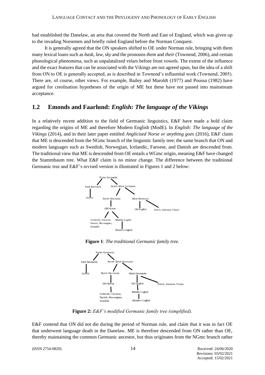had established the Danelaw, an area that covered the North and East of England, which was given up to the invading Norsemen and briefly ruled England before the Norman Conquest.

It is generally agreed that the ON speakers shifted to OE under Norman rule, bringing with them many lexical loans such as *bask*, *law*, *sky* and the pronouns *them* and *their* (Townend, 2006), and certain phonological phenomena, such as unpalatalized velars before front vowels. The extent of the influence and the exact features that can be associated with the Vikings are not agreed upon, but the idea of a shift from ON to OE is generally accepted, as is described in Townend's influential work (Townend, 2005). There are, of course, other views. For example, Bailey and Maroldt (1977) and Poussa (1982) have argued for creolisation hypotheses of the origin of ME but these have not passed into mainstream acceptance.

## **1.2 Emonds and Faarlund:** *English: The language of the Vikings*

In a relatively recent addition to the field of Germanic linguistics, E&F have made a bold claim regarding the origins of ME and therefore Modern English (ModE). In *English: The language of the Vikings* (2014), and in their later paper entitled *Anglicised Norse or anything goes* (2016), E&F claim that ME is descended from the NGmc branch of the linguistic family tree; the same branch that ON and modern languages such as Swedish, Norwegian, Icelandic, Faroese, and Danish are descended from. The traditional view that ME is descended from OE entails a WGmc origin, meaning E&F have changed the Stammbaum tree. What E&F claim is no minor change. The difference between the traditional Germanic tree and E&F's revised version is illustrated in Figures 1 and 2 below:



**Figure 1**: *The traditional Germanic family tree.*



**Figure 2:** *E&F's modified Germanic family tree (simplified).*

E&F contend that ON did not die during the period of Norman rule, and claim that it was in fact OE that underwent language death in the Danelaw. ME is therefore descended from ON rather than OE, thereby maintaining the common Germanic ancestor, but thus originates from the NGmc branch rather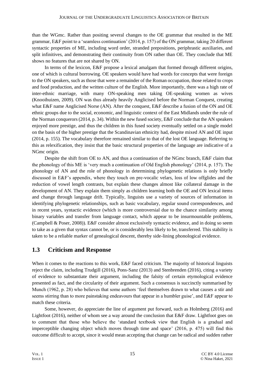than the WGmc. Rather than positing several changes to the OE grammar that resulted in the ME grammar, E&F point to a 'seamless continuation' (2014, p. 157) of the ON grammar, taking 20 different syntactic properties of ME, including word order, stranded prepositions, periphrastic auxiliaries, and split infinitives, and demonstrating their continuity from ON rather than OE. They conclude that ME shows no features that are not shared by ON.

In terms of the lexicon, E&F propose a lexical amalgam that formed through different origins, one of which is cultural borrowing. OE speakers would have had words for concepts that were foreign to the ON speakers, such as those that were a remainder of the Roman occupation, those related to crops and food production, and the written culture of the English. More importantly, there was a high rate of inter-ethnic marriage, with many ON-speaking men taking OE-speaking women as wives (Knooihuizen, 2009). ON was thus already heavily Anglicised before the Norman Conquest, creating what E&F name Anglicised Norse (AN). After the conquest, E&F describe a fusion of the ON and OE ethnic groups due to the social, economic, and linguistic context of the East Midlands under the rule of the Norman conquerors (2014, p. 34). Within the new fused society, E&F conclude that the AN speakers enjoyed more prestige, and thus the children in this fused society eventually settled on a single model on the basis of the higher prestige that the Scandinavian ethnicity had, despite mixed AN and OE input (2014, p. 155). The vocabulary therefore remained similar to that of the lost OE language. Referring to this as relexification, they insist that the basic structural properties of the language are indicative of a NGmc origin.

Despite the shift from OE to AN, and thus a continuation of the NGmc branch, E&F claim that the phonology of this ME is 'very much a continuation of Old English phonology' (2014, p. 157). The phonology of AN and the role of phonology in determining phylogenetic relations is only briefly discussed in E&F's appendix, where they touch on pre-vocalic velars, loss of low offglides and the reduction of vowel length contrasts, but explain these changes almost like collateral damage in the development of AN. They explain them simply as children learning both the OE and ON lexical items and change through language drift. Typically, linguists use a variety of sources of information in identifying phylogenetic relationships, such as basic vocabulary, regular sound correspondences, and in recent years, syntactic evidence (which is more controversial due to the chance similarity among binary variables and transfer from language contact, which appear to be insurmountable problems, (Campbell & Poser, 2008)). E&F consider almost exclusively syntactic evidence, and in doing so seem to take as a given that syntax cannot be, or is considerably less likely to be, transferred. This stability is taken to be a reliable marker of genealogical descent, thereby side-lining phonological evidence.

## **1.3 Criticism and Response**

When it comes to the reactions to this work, E&F faced criticism. The majority of historical linguists reject the claim, including Trudgill (2016), Pons-Sanz (2013) and Stenbrenden (2016), citing a variety of evidence to substantiate their argument, including the falsity of certain etymological evidence presented as fact, and the circularity of their argument. Such a consensus is succinctly summarised by Munch (1962, p. 28) who believes that some authors 'feel themselves drawn to what causes a stir and seems stirring than to more painstaking endeavours that appear in a humbler guise', and E&F appear to match these criteria.

Some, however, do appreciate the line of argument put forward, such as Holmberg (2016) and Lightfoot (2016), neither of whom see a way around the conclusion that E&F draw. Lightfoot goes on to comment that those who believe the 'standard textbook view that English is a gradual and imperceptible changing object which moves through time and space' (2016, p. 475) will find this outcome difficult to accept, since it would mean accepting that change can be radical and sudden rather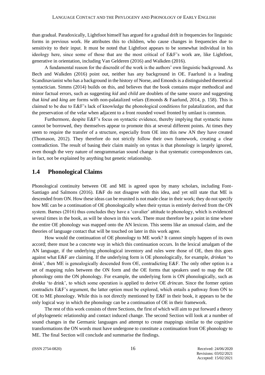than gradual. Paradoxically, Lightfoot himself has argued for a gradual drift in frequencies for linguistic forms in previous work. He attributes this to children, who cause changes in frequencies due to sensitivity to their input. It must be noted that Lightfoot appears to be somewhat individual in his ideology here, since some of those that are the most critical of E&F's work are, like Lightfoot, generative in orientation, including Van Gelderen (2016) and Walkden (2016).

A fundamental reason for the discredit of the work is the authors' own linguistic background. As Bech and Walkden (2016) point out, neither has any background in OE. Faarlund is a leading Scandinavianist who has a background in the history of Norse, and Emonds is a distinguished theoretical syntactician. Simms (2014) builds on this, and believes that the book contains major methodical and minor factual errors, such as suggesting *kid* and *child* are doublets of the same source and suggesting that *kind* and *king* are forms with non-palatalized velars (Emonds & Faarlund, 2014, p. 158). This is claimed to be due to E&F's lack of knowledge the phonological conditions for palatalization, and that the preservation of the velar when adjacent to a front rounded vowel fronted by umlaut is common.

Furthermore, despite E&F's focus on syntactic evidence, thereby implying that syntactic items cannot be borrowed, they themselves appear to promote this at several different points. At times they seem to require the transfer of a structure, especially from OE into this new AN they have created (Thomason, 2012). They therefore do not strictly follow their own framework, creating a clear contradiction. The result of basing their claim mainly on syntax is that phonology is largely ignored, even though the very nature of neogrammarian sound change is that systematic correspondences can, in fact, not be explained by anything but genetic relationship.

#### **1.4 Phonological Claims**

Phonological continuity between OE and ME is agreed upon by many scholars, including Font-Santiago and Salmons (2016). E&F do not disagree with this idea, and yet still state that ME is descended from ON. How these ideas can be reunited is not made clear in their work; they do not specify how ME can be a continuation of OE phonologically when their syntax is entirely derived from the ON system. Barnes (2016) thus concludes they have a 'cavalier' attitude to phonology, which is evidenced several times in the book, as will be shown in this work. There must therefore be a point in time where the entire OE phonology was mapped onto the AN lexicon. This seems like an unusual claim, and the theories of language contact that will be touched on later in this work agree.

How would the continuation of OE phonology to ME work? It cannot simply happen of its own accord; there must be a concrete way in which this continuation occurs. In the lexical amalgam of the AN language, if the underlying phonological inventory and rules were those of OE, then this goes against what E&F are claiming. If the underlying form is OE phonologically, for example, *drinkan* 'to drink', then ME is genealogically descended from OE, contradicting E&F. The only other option is a set of mapping rules between the ON form and the OE forms that speakers used to map the OE phonology onto the ON phonology. For example, the underlying form is ON phonologically, such as *drekka* 'to drink', to which some operation is applied to derive OE *drincan*. Since the former option contradicts E&F's argument, the latter option must be explored, which entails a pathway from ON to OE to ME phonology. While this is not directly mentioned by E&F in their book, it appears to be the only logical way in which the phonology can be a continuation of OE in their framework.

The rest of this work consists of three Sections, the first of which will aim to put forward a theory of phylogenetic relationship and contact induced change. The second Section will look at a number of sound changes in the Germanic languages and attempt to create mappings similar to the cognitive transformations the ON words must have undergone to constitute a continuation from OE phonology to ME. The final Section will conclude and summarise the findings.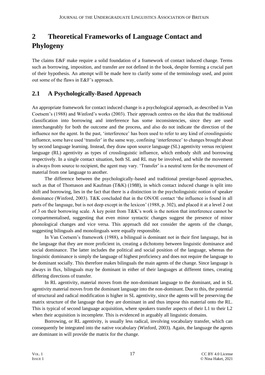## **2 Theoretical Frameworks of Language Contact and Phylogeny**

The claims E&F make require a solid foundation of a framework of contact induced change. Terms such as borrowing, imposition, and transfer are not defined in the book, despite forming a crucial part of their hypothesis. An attempt will be made here to clarify some of the terminology used, and point out some of the flaws in E&F's approach.

## **2.1 A Psychologically-Based Approach**

An appropriate framework for contact induced change is a psychological approach, as described in Van Coetsem's (1988) and Winford's works (2003). Their approach centres on the idea that the traditional classification into borrowing and interference has some inconsistencies, since they are used interchangeably for both the outcome and the process, and also do not indicate the direction of the influence nor the agent. In the past, 'interference' has been used to refer to any kind of crosslinguistic influence, some have used 'transfer' in the same way, confining 'interference' to changes brought about by second language learning. Instead, they draw upon source language (SL) agentivity versus recipient language (RL) agentivity as types of crosslinguistic influence, which embody shift and borrowing respectively. In a single contact situation, both SL and RL may be involved, and while the movement is always from source to recipient, the agent may vary. 'Transfer' is a neutral term for the movement of material from one language to another.

The difference between the psychologically-based and traditional prestige-based approaches, such as that of Thomason and Kaufman  $(T&K)$  (1988), in which contact induced change is split into shift and borrowing, lies in the fact that there is a distinction in the psycholinguistic notion of speaker dominance (Winford, 2003). T&K concluded that in the ON/OE contact 'the influence is found in all parts of the language, but is not deep except in the lexicon' (1988, p. 302), and placed it at a level 2 out of 3 on their borrowing scale. A key point from T&K's work is the notion that interference cannot be compartmentalised, suggesting that even minor syntactic changes suggest the presence of minor phonological changes and vice versa. This approach did not consider the agents of the change, suggesting bilinguals and monolinguals were equally responsible.

In Van Coetsem's framework (1988), a bilingual is dominant not in their first language, but in the language that they are more proficient in, creating a dichotomy between linguistic dominance and social dominance. The latter includes the political and social position of the language, whereas the linguistic dominance is simply the language of highest proficiency and does not require the language to be dominant socially. This therefore makes bilinguals the main agents of the change. Since language is always in flux, bilinguals may be dominant in either of their languages at different times, creating differing directions of transfer.

In RL agentivity, material moves from the non-dominant language to the dominant, and in SL agentivity material moves from the dominant language into the non-dominant. Due to this, the potential of structural and radical modification is higher in SL agentivity, since the agents will be preserving the matrix structure of the language that they are dominant in and thus impose this material onto the RL. This is typical of second language acquisition, where speakers transfer aspects of their L1 to their L2 when their acquisition is incomplete. This is evidenced in arguably all linguistic domains.

Borrowing, or RL agentivity, is usually less radical, involving vocabulary transfer, which can consequently be integrated into the native vocabulary (Winford, 2003). Again, the language the agents are dominant in will provide the matrix for the change.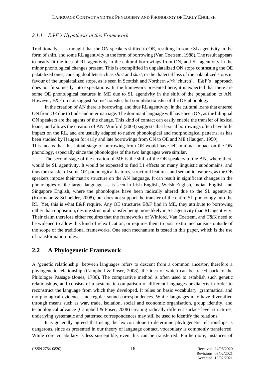#### *2.1.1 E&F's Hypothesis in this Framework*

Traditionally, it is thought that the ON speakers shifted to OE, resulting in some SL agentivity in the form of shift, and some RL agentivity in the form of borrowing (Van Coetsem, 1988). The result appears to neatly fit the idea of RL agentivity in the cultural borrowings from ON, and SL agentivity in the minor phonological changes present. This is exemplified in unpalatalized ON stops contrasting the OE palatalized ones, causing doublets such as *shirt* and *skirt*, or the dialectal loss of the palatalized stops in favour of the unpalatalized stops, as is seen in Scottish and Northern *kirk* 'church'. E&F's approach does not fit so neatly into expectations. In the framework presented here, it is expected that there are some OE phonological features in ME due to SL agentivity in the shift of the population to AN. However, E&F do not suggest 'some' transfer, but complete transfer of the OE phonology.

In the creation of AN there is borrowing, and thus RL agentivity, in the cultural loans that entered ON from OE due to trade and intermarriage. The dominant language will have been ON, as the bilingual ON speakers are the agents of the change. This kind of contact can easily enable the transfer of lexical loans, and allows the creation of AN. Winford (2003) suggests that lexical borrowings often have little impact on the RL, and are usually adapted to native phonological and morphological patterns, as has been studied by Haugen for early and late borrowings from ON to OE and ME (Haugen, 1950). This means that this initial stage of borrowing from OE would have left minimal impact on the ON phonology, especially since the phonologies of the two languages were similar.

The second stage of the creation of ME is the shift of the OE speakers to the AN, where there would be SL agentivity. It would be expected to find L1 effects on many linguistic subdomains, and thus the transfer of some OE phonological features, structural features, and semantic features, as the OE speakers impose their matrix structure on the AN language. It can result in significant changes in the phonologies of the target language, as is seen in Irish English, Welsh English, Indian English and Singapore English, where the phonologies have been radically altered due to the SL agentivity (Kortmann & Schneider, 2008), but does not support the transfer of the entire SL phonology into the RL. Yet, this is what E&F require. Any OE structures E&F find in ME, they attribute to borrowing rather than imposition, despite structural transfer being more likely in SL agentivity than RL agentivity. Their claim therefore either requires that the frameworks of Winford, Van Coetsem, and T&K need to be widened to allow this kind of relexification, or requires them to posit extra mechanisms outside of the scope of the traditional frameworks. One such mechanism is tested in this paper, which is the use of transformation rules.

#### **2.2 A Phylogenetic Framework**

A 'genetic relationship' between languages refers to descent from a common ancestor, therefore a phylogenetic relationship (Campbell & Poser, 2008), the idea of which can be traced back to the Philologer Passage (Jones, 1786). The comparative method is often used to establish such genetic relationships, and consists of a systematic comparison of different languages or dialects in order to reconstruct the language from which they developed. It relies on basic vocabulary, grammatical and morphological evidence, and regular sound correspondences. While languages may have diversified through means such as war, trade, isolation, social and economic organisation, group identity, and technological advance (Campbell & Poser, 2008) creating radically different surface level structures, underlying systematic and patterned correspondences may still be used to identify the relations.

It is generally agreed that using the lexicon alone to determine phylogenetic relationships is dangerous, since as presented in our theory of language contact, vocabulary is commonly transferred. While core vocabulary is less susceptible, even this can be transferred. Furthermore, instances of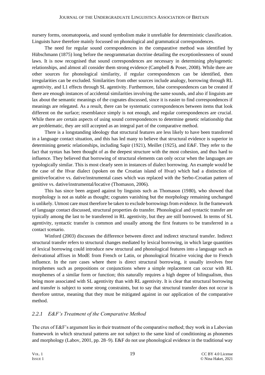nursery forms, onomatopoeia, and sound symbolism make it unreliable for deterministic classification. Linguists have therefore mainly focussed on phonological and grammatical correspondences.

The need for regular sound correspondences in the comparative method was identified by Hübschmann (1875) long before the neogrammarian doctrine detailing the exceptionlessness of sound laws. It is now recognised that sound correspondences are necessary in determining phylogenetic relationships, and almost all consider them strong evidence (Campbell & Poser, 2008). While there are other sources for phonological similarity, if regular correspondences can be identified, then irregularities can be excluded. Similarities from other sources include analogy, borrowing through RL agentivity, and L1 effects through SL agentivity. Furthermore, false correspondences can be created if there are enough instances of accidental similarities involving the same sounds, and also if linguists are lax about the semantic meanings of the cognates discussed, since it is easier to find correspondences if meanings are relegated. As a result, there can be systematic correspondences between items that look different on the surface; resemblance simply is not enough, and regular correspondences are crucial. While there are certain aspects of using sound correspondences to determine genetic relationship that are problematic, they are still accepted as an integral part of the comparative method.

There is a longstanding ideology that structural features are less likely to have been transferred in a language contact situation, and this has led many to believe that structural evidence is superior in determining genetic relationships, including Sapir (1921), Meillet (1925), and E&F. They refer to the fact that syntax has been thought of as the deepest structure with the most cohesion, and thus hard to influence. They believed that borrowing of structural elements can only occur when the languages are typologically similar. This is most clearly seen in instances of dialect borrowing. An example would be the case of the Hvar dialect (spoken on the Croatian island of Hvar) which had a distinction of genitive/locative vs. dative/instrumental cases which was replaced with the Serbo-Croatian pattern of genitive vs. dative/instrumental/locative (Thomason, 2006).

This has since been argued against by linguists such as Thomason (1980), who showed that morphology is not as stable as thought; cognates vanishing but the morphology remaining unchanged is unlikely. Utmost care must therefore be taken to exclude borrowings from evidence. In the framework of language contact discussed, structural properties do transfer. Phonological and syntactic transfer are typically among the last to be transferred in RL agentivity, but they are still borrowed. In terms of SL agentivity, syntactic transfer is common and usually among the first features to be transferred in a contact scenario.

Winford (2003) discusses the difference between direct and indirect structural transfer. Indirect structural transfer refers to structural changes mediated by lexical borrowing, in which large quantities of lexical borrowing could introduce new structural and phonological features into a language such as derivational affixes in ModE from French or Latin, or phonological fricative voicing due to French influence. In the rare cases where there is direct structural borrowing, it usually involves free morphemes such as prepositions or conjunctions where a simple replacement can occur with RL morphemes of a similar form or function; this naturally requires a high degree of bilingualism, thus being more associated with SL agentivity than with RL agentivity. It is clear that structural borrowing and transfer is subject to some strong constraints, but to say that structural transfer does not occur is therefore untrue, meaning that they must be mitigated against in our application of the comparative method.

#### *2.2.1 E&F's Treatment of the Comparative Method*

The crux of E&F's argument lies in their treatment of the comparative method; they work in a Labovian framework in which structural patterns are not subject to the same kind of conditioning as phonemes and morphology (Labov, 2001, pp. 28–9). E&F do not use phonological evidence in the traditional way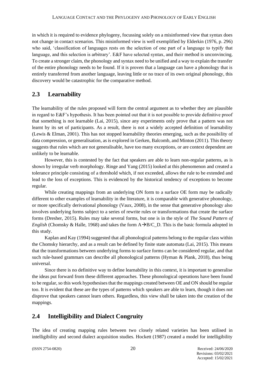in which it is required to evidence phylogeny, focussing solely on a misinformed view that syntax does not change in contact scenarios. This misinformed view is well exemplified by Elderkin (1976, p. 296) who said, 'classification of languages rests on the selection of one part of a language to typify that language, and this selection is arbitrary'. E&F have selected syntax, and their method is unconvincing. To create a stronger claim, the phonology and syntax need to be unified and a way to explain the transfer of the entire phonology needs to be found. If it is proven that a language can have a phonology that is entirely transferred from another language, leaving little or no trace of its own original phonology, this discovery would be catastrophic for the comparative method.

## **2.3 Learnability**

The learnability of the rules proposed will form the central argument as to whether they are plausible in regard to E&F's hypothesis. It has been pointed out that it is not possible to provide definitive proof that something is not learnable (Lai, 2015), since any experiments only prove that a pattern was not learnt by its set of participants. As a result, there is not a widely accepted definition of learnability (Lewis & Elman, 2001). This has not stopped learnability theories emerging, such as the possibility of data compression, or generalisation, as is explored in Gerken, Balcomb, and Minton (2011). This theory suggests that rules which are not generalisable, have too many exceptions, or are context dependent are unlikely to be learnable.

However, this is contested by the fact that speakers are able to learn non-regular patterns, as is shown by irregular verb morphology. Ringe and Yang (2015) looked at this phenomenon and created a tolerance principle consisting of a threshold which, if not exceeded, allows the rule to be extended and lead to the loss of exceptions. This is evidenced by the historical tendency of exceptions to become regular.

While creating mappings from an underlying ON form to a surface OE form may be radically different to other examples of learnability in the literature, it is comparable with generative phonology, or more specifically derivational phonology (Vaux, 2008), in the sense that generative phonology also involves underlying forms subject to a series of rewrite rules or transformations that create the surface forms (Dresher, 2015). Rules may take several forms, but one is in the style of *The Sound Pattern of English* (Chomsky & Halle, 1968) and takes the form  $A\rightarrow B/C$  D. This is the basic formula adopted in this study.

Kaplan and Kay (1994) suggested that all phonological patterns belong to the regular class within the Chomsky hierarchy, and as a result can be defined by finite state automata (Lai, 2015). This means that the transformations between underlying forms to surface forms can be considered regular, and that such rule-based grammars can describe all phonological patterns (Hyman & Plank, 2018), thus being universal.

Since there is no definitive way to define learnability in this context, it is important to generalise the ideas put forward from these different approaches. These phonological operations have been found to be regular, so this work hypothesises that the mappings created between OE and ON should be regular too. It is evident that these are the types of patterns which speakers are able to learn, though it does not disprove that speakers cannot learn others. Regardless, this view shall be taken into the creation of the mappings.

## **2.4 Intelligibility and Dialect Congruity**

The idea of creating mapping rules between two closely related varieties has been utilised in intelligibility and second dialect acquisition studies. Hockett (1987) created a model for intelligibility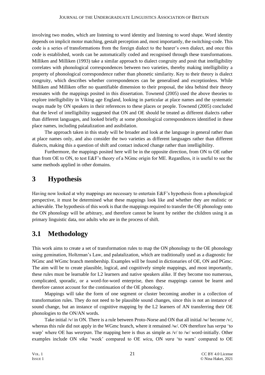involving two modes, which are listening to word identity and listening to word shape. Word identity depends on implicit motor matching, gestalt perception and, most importantly, the switching-code. This code is a series of transformations from the foreign dialect to the hearer's own dialect, and once this code is established, words can be automatically coded and recognised through these transformations. Milliken and Milliken (1993) take a similar approach to dialect congruity and posit that intelligibility correlates with phonological correspondences between two varieties, thereby making intelligibility a property of phonological correspondence rather than phonetic similarity. Key to their theory is dialect congruity, which describes whether correspondences can be generalised and exceptionless. While Milliken and Milliken offer no quantifiable dimension to their proposal, the idea behind their theory resonates with the mappings posited in this dissertation. Townend (2005) used the above theories to explore intelligibility in Viking age England, looking in particular at place names and the systematic swaps made by ON speakers in their references to these places or people. Townend (2005) concluded that the level of intelligibility suggested that ON and OE should be treated as different dialects rather than different languages, and looked briefly at some phonological correspondences identified in these place names, including palatalization and assibilation.

The approach taken in this study will be broader and look at the language in general rather than at place names only, and also consider the two varieties as different languages rather than different dialects, making this a question of shift and contact induced change rather than intelligibility.

Furthermore, the mappings posited here will be in the opposite direction, from ON to OE rather than from OE to ON, to test E&F's theory of a NGmc origin for ME. Regardless, it is useful to see the same methods applied in other domains.

## **3 Hypothesis**

Having now looked at why mappings are necessary to entertain E&F's hypothesis from a phonological perspective, it must be determined what these mappings look like and whether they are realistic or achievable. The hypothesis of this work is that the mappings required to transfer the OE phonology onto the ON phonology will be arbitrary, and therefore cannot be learnt by neither the children using it as primary linguistic data, nor adults who are in the process of shift.

## **3.1 Methodology**

This work aims to create a set of transformation rules to map the ON phonology to the OE phonology using gemination, Holtzman's Law, and palatalization, which are traditionally used as a diagnostic for NGmc and WGmc branch membership. Examples will be found in dictionaries of OE, ON and PGmc. The aim will be to create plausible, logical, and cognitively simple mappings, and most importantly, these rules must be learnable for L2 learners and native speakers alike. If they become too numerous, complicated, sporadic, or a word-for-word enterprise, then these mappings cannot be learnt and therefore cannot account for the continuation of the OE phonology.

Mappings will take the form of one segment or cluster becoming another in a collection of transformation rules. They do not need to be plausible sound changes, since this is not an instance of sound change, but an instance of cognitive mapping by the L2 learners of AN transferring their OE phonologies to the ON/AN words.

Take initial /v/ in ON. There is a rule between Proto-Norse and ON that all initial /w/ become /v/, whereas this rule did not apply in the WGmc branch, where it remained /w/. ON therefore has *verpa* 'to warp' where OE has *weorpan*. The mapping here is thus as simple as /v/ to /w/ word-initially. Other examples include ON *vika* 'week' compared to OE *wicu*, ON *vara* 'to warn' compared to OE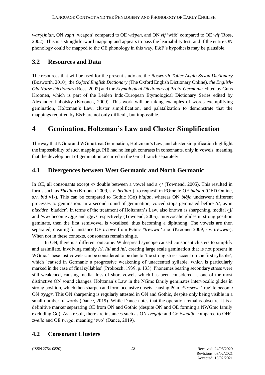*war(e)nian*, ON *vapn* 'weapon' compared to OE *wǣpen*, and ON *vif* 'wife' compared to OE *wīf* (Ross, 2002). This is a straightforward mapping and appears to pass the learnability test, and if the entire ON phonology could be mapped to the OE phonology in this way, E&F's hypothesis may be plausible.

## **3.2 Resources and Data**

The resources that will be used for the present study are the *Bosworth-Toller Anglo-Saxon Dictionary* (Bosworth, 2010), the *Oxford English Dictionary* (The Oxford English Dictionary Online), *the English-Old Norse Dictionary* (Ross, 2002) and the *Etymological Dictionary of Proto-Germanic* edited by Guus Kroonen, which is part of the Leiden Indo-European Etymological Dictionary Series edited by Alexander Lubotsky (Kroonen, 2009). This work will be taking examples of words exemplifying gemination, Holtzman's Law, cluster simplification, and palatalization to demonstrate that the mappings required by E&F are not only difficult, but impossible.

## **4 Gemination, Holtzman's Law and Cluster Simplification**

The way that NGmc and WGmc treat Gemination, Holtzman's Law, and cluster simplification highlight the impossibility of such mappings. PIE had no length contrasts in consonants, only in vowels, meaning that the development of gemination occurred in the Gmc branch separately.

## **4.1 Divergences between West Germanic and North Germanic**

In OE, all consonants except  $/r/$  double between a vowel and a  $/j/$  (Townend, 2005). This resulted in forms such as *\*bedjan* (Kroonen 2009, s.v. *bedjan*-) 'to request' in PGmc to OE *biddan* (OED Online, s.v. *bid* v1-). This can be compared to Gothic (Go) *bidjan*, whereas ON *biðja* underwent different processes to gemination. In a second round of gemination, voiced stops geminated before /r/, as in *blæddre* 'bladder'. In terms of the treatment of Holtzman's Law, also known as sharpening, medial /jj/ and /ww/ become /ggj/ and /ggv/ respectively (Townend, 2005). Intervocalic glides in strong position geminate, then the first semivowel is vocalised, thus becoming a diphthong. The vowels are then separated, creating for instance OE *trēowe* from PGmc *\*trewwu* 'true' (Kroonen 2009, s.v. *trewwu*-). When not in these contexts, consonants remain single.

In ON, there is a different outcome. Widespread syncope caused consonant clusters to simplify and assimilate, involving mainly  $/r/$ ,  $/h/$  and  $/n/$ , creating large scale gemination that is not present in WGmc. These lost vowels can be considered to be due to 'the strong stress accent on the first syllable', which 'caused in Germanic a progressive weakening of unaccented syllable, which is particularly marked in the case of final syllables' (Prokosch, 1939, p. 133). Phonemes bearing secondary stress were still weakened, causing medial loss of short vowels which has been considered as one of the most distinctive ON sound changes. Holtzman's Law in the NGmc family geminates intervocalic glides in strong position, which then sharpen and form occlusive onsets, causing PGmc*\*trewwu* 'true' to become ON *tryggr*. This ON sharpening is regularly attested in ON and Gothic, despite only being visible in a small number of words (Dance, 2019). While Dance notes that the operation remains obscure, it is a definitive marker separating OE from ON and Gothic (despite ON and OE forming a NWGmc family excluding Go). As a result, there are instances such as ON *tveggja* and Go *twaddje* compared to OHG *zweiio* and OE *twēġa*, meaning 'two' (Dance, 2019).

## **4.2 Consonant Clusters**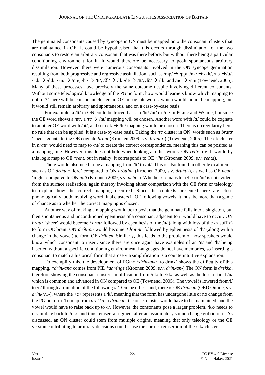The geminated consonants caused by syncope in ON must be mapped onto the consonant clusters that are maintained in OE. It could be hypothesised that this occurs through dissimilation of the two consonants to restore an arbitrary consonant that was there before, but without there being a particular conditioning environment for it. It would therefore be necessary to posit spontaneous arbitrary dissimilation. However, there were numerous consonants involved in the ON syncope gemination resulting from both progressive and regressive assimilation, such as  $\langle mp \rangle \rightarrow \langle pp \rangle$ ,  $\langle nk \rangle \rightarrow \langle kk \rangle$ ,  $\langle nt \rangle \rightarrow \langle tt \rangle$ ,  $/$ kd/  $\rightarrow$  /dd/, /kn/  $\rightarrow$  /nn/, /ht/  $\rightarrow$  /tt/, /ðl/  $\rightarrow$  /ll/ /dt/  $\rightarrow$  /tt/, /lð/  $\rightarrow$  /ll/, and /nð  $\rightarrow$  /nn/ (Townend, 2005). Many of these processes have precisely the same outcome despite involving different consonants. Without some teleological knowledge of the PGmc form, how would learners know which mapping to opt for? There will be consonant clusters in OE in cognate words, which would aid in the mapping, but it would still remain arbitrary and spontaneous, and on a case-by-case basis.

For example, a /tt/ in ON could be traced back to /ht/ /nt/ or /dt/ in PGmc and WGmc, but since the OE word shows a /nt/, a /tt/  $\rightarrow$  /nt/ mapping will be chosen. Another word with /tt/ could be cognate to another OE word with /ht/, and so a /tt/  $\rightarrow$  /ht/ mapping would be chosen. There is no regularity here, no rule that can be applied; it is a case-by-case basis. Taking the /tt/ cluster in ON, words such as *brattr* 'sheer' equate to the OE cognate *brant* (Kroonen 2009, s.v. *branta*-) (Townend, 2005). The /tt/ cluster in *brattr* would need to map to /nt/ to create the correct correspondence, meaning this can be posited as a mapping rule. However, this does not hold when looking at other words. ON *réttr* 'right' would by this logic map to OE *\*rent*, but in reality, it corresponds to OE *riht* (Kroonen 2009, s.v. *rehta*).

There would also need to be a mapping from /tt/ to /ht/. This is also found in other lexical items, such as OE *drihten* 'lord' compared to ON *dróttinn* (Kroonen 2009, s.v. *druhti*-), as well as OE *neaht* 'night' compared to ON  $n\acute{q}t$ t (Kroonen 2009, s.v. *nahti*-). Whether /tt/ maps to a /ht/ or /nt/ is not evident from the surface realisation, again thereby invoking either comparison with the OE form or teleology to explain how the correct mapping occurred. Since the contexts presented here are close phonologically, both involving word final clusters in OE following vowels, it must be more than a game of chance as to whether the correct mapping is chosen.

Another way of making a mapping would be to posit that the geminate falls into a singleton, but then spontaneous and unconditioned epenthesis of a consonant adjacent to it would have to occur. ON *brattr* 'sheer' would become *\*bratr* followed by epenthesis of the /n/ (along with loss of the /r/ suffix) to form OE brant. ON *dróttinn* would become *\*drotinn* followed by ephenthesis of /h/ (along with a change in the vowel) to form OE *drihten*. Similarly, this leads to the problem of how speakers would know which consonant to insert, since there are once again have examples of an /n/ and /h/ being inserted without a specific conditioning environment. Languages do not have memories, so inserting a consonant to match a historical form that arose via simplification is a counterintuitive explanation.

To exemplify this, the development of PGmc *\*drinkana* 'to drink' shows the difficulty of this mapping. *\*drinkana* comes from PIE *\*dhrénge* (Kroonen 2009, s.v. *drinkan*-) The ON form is *drekka*, therefore showing the consonant cluster simplification from /nk/ to /kk/, as well as the loss of final /n/ which is common and advanced in ON compared to OE (Townend, 2005). The vowel is lowered from/i/ to /e/ through a-mutation of the following /a/. On the other hand, there is OE *drincan* (OED Online, s.v. *drink* v1-), where the  $<<>$  represents a /k/, meaning that the form has undergone little or no change from the PGmc form. To map from *drekka* to *drincan*, the onset cluster would have to be maintained, and the vowel would have to raise back up to /i/. However, the consonants pose a larger problem. /kk/ needs to dissimilate back to /nk/, and thus reinsert a segment after an assimilatory sound change got rid of it. As discussed, an ON cluster could stem from multiple origins, meaning that only teleology or the OE version contributing to arbitrary decisions could cause the correct reinsertion of the /nk/ cluster.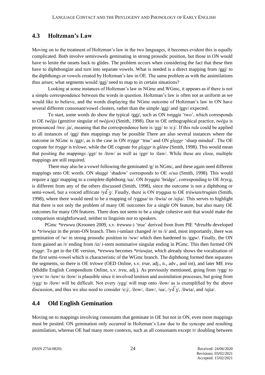#### **4.3 Holtzman's Law**

Moving on to the treatment of Holtzman's law in the two languages, it becomes evident this is equally complicated. Both involve semivowels geminating in strong prosodic position, but those in ON would have to lenite the onsets back to glides. The problem occurs when considering the fact that these then have to diphthongize and turn into separate vowels. What is needed is a direct mapping from /ggj/ to the diphthongs or vowels created by Holtzman's law in OE. The same problem as with the assimilations thus arises; what segments would /ggj/ need to map to in certain situations?

Looking at some instances of Holtzman's law in NGmc and WGmc, it appears as if there is not a simple correspondence between the words in question. Holtzman's law is often not as uniform as we would like to believe, and the words displaying the NGmc outcome of Holtzman's law in ON have several different consonant/vowel clusters, rather than the simple /ggj/ and /ggv/ expected.

To start, some words do show the typical /ggj/, such as ON *tveggja* 'two', which corresponds to OE *twēġa* (genitive singular of *twēġen*) (Smith, 1998). Due to OE orthographical practice, *twēġa* is pronounced /tweː.ja/, meaning that the correspondence here is /ggj/ to /e:j/. If this rule could be applied to all instances of /ggj/ then mappings may be possible There are also several instances where the outcome in NGmc is /ggr/, as is the case in ON *tryggr* 'true' and ON *gloggr* 'sharp minded'. The OE cognate for *tryggr* is *trēowe*, while the OE cognate for *gloggr* is *glēaw* (Smith, 1998). This would mean that positing the mappings /ggr/ to /ēow/ as well as /ggr/ to /ēaw/. While these are close, multiple mappings are still required.

There may also be a vowel following the geminated  $/g/$  in NGmc, and these again need different mappings onto OE words. ON *skuggi* 'shadow' corresponds to OE *sċua* (Smith, 1998). This would require a /ggi/ mapping to a complete diphthong /ua/. ON *bryggia* 'bridge', corresponding to OE *brycg,* is different from any of the others discussed (Smith, 1998), since the outcome is not a diphthong or semi-vowel, but a voiced affricate /yd͡ʒ/. Finally, there is ON *tryggua* to OE *trūwian/trugian* (Smith, 1998), where there would need to be a mapping of /yggua/ to /ūwia/ or /ujia/. This serves to highlight that there is not only the problem of many OE outcomes for a single ON feature, but also many OE outcomes for many ON features. There does not seem to be a single cohesive unit that would make the comparison straightforward, neither to linguists nor to speakers.

PGmc *\*trewwu* (Kroonen 2009, s.v. *trewwu*-) 'true' derived from from PIE *\*dreuHu* developed to *\*triwwjaz* in the proto-ON branch. Then *i*-umlaut changed /e/ to /i/ and, most importantly, there was gemination of /w/ in strong prosodic position to /ww/ which then hardened to /ggw/. Finally, the ON form gained an /r/ ending from /iz/ *i*-stem nominative singular ending in PGmc. This then formed ON *tryggr*. To get to the OE version, *\*trewwu* becomes *\*triuwjaz*, which already shows the vocalisation of the first semi-vowel which is characteristic of the WGmc branch. The diphthong formed then separates the segments, so there is OE *trēowe* (OED Online, s.v. *true*, adj., n., adv., and int), and later ME *treu* (Middle English Compendium Online, s.v. *treu*, adj.). As previously mentioned, going from /ygg/ to /yww/ to /iuw/ to /ēow/ is plausible since it involved lenition and assimilation processes, but going from /ygg/ to /ēow/ will be difficult. Not every /ygg/ will map onto /ēow/ as is exemplified by the above discussion, and thus we also need to consider /e:j/, /ēow/, /ēaw/, /ua/, /yd $\frac{1}{3}$ /, /ūwia/, and /ujia/.

## **4.4 Old English Gemination**

Moving on to mappings involving consonants that geminate in OE but not in ON, even more mappings must be posited. ON gemination only occurred in Holtzman's Law due to the syncope and resulting assimilation, whereas OE had many more contexts, such as all consonants except /r/ doubling between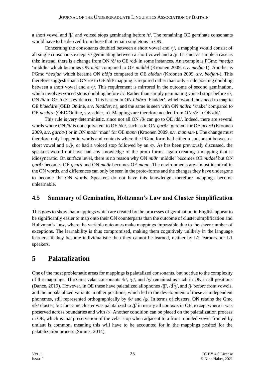a short vowel and  $/1$ , and voiced stops geminating before  $/r$ . The remaining OE geminate consonants would have to be derived from those that remain singletons in ON.

Concerning the consonants doubled between a short vowel and  $\pi/$ , a mapping would consist of all single consonants except /r/ geminating between a short vowel and a /j/. It is not as simple a case as this; instead, there is a change from ON /ð/ to OE /dd/ in some instances. An example is PGmc *\*medja* 'middle' which becomes ON *miðr* compared to OE *middel* (Kroonen 2009, s.v. *medja*-1). Another is PGmc *\*bedjan* which became ON *biðja* compared to OE *biddan* (Kroonen 2009, s.v. *bedjan*-). This therefore suggests that a ON /ð/ to OE /dd/ mapping is required rather than only a rule positing doubling between a short vowel and a /j/. This requirement is mirrored in the outcome of second gemination, which involves voiced stops doubling before /r/. Rather than simply geminating voiced stops before /r/, ON /ð/ to OE /dd/ is evidenced. This is seen in ON *bláðra* 'bladder', which would thus need to map to OE *blaeddre* (OED Online, s.v. *bladder*, n), and the same is seen with ON *naðra* 'snake' compared to OE *næddre* (OED Online, s.v. adder, n). Mappings are therefore needed from ON /ð/ to OE /dd/.

This rule is very deterministic, since not all ON /ð/ can go to OE /dd/. Indeed, there are several words where ON /ð/ is not equivalent to OE /dd/, such as in ON *garðr* 'garden' for OE *geard* (Kroonen 2009, s.v. *garda*-) or in ON *maðr* 'man' for OE *mann* (Kroonen 2009, s.v. *mannan*-). The change must therefore only happen in words and contexts where the PGmc form had either a consonant between a short vowel and a /j/, or had a voiced stop followed by an /r/. As has been previously discussed, the speakers would not have had any knowledge of the proto forms, again creating a mapping that is idiosyncratic. On surface level, there is no reason why ON *miðr* 'middle' becomes OE *middel* but ON *garðr* becomes OE *geard* and ON *maðr* becomes OE *mann*. The environments are almost identical in the ON words, and differences can only be seen in the proto-forms and the changes they have undergone to become the ON words. Speakers do not have this knowledge, therefore mappings become unlearnable.

## **4.5 Summary of Gemination, Holtzman's Law and Cluster Simplification**

This goes to show that mappings which are created by the processes of gemination in English appear to be significantly easier to map onto their ON counterparts than the outcome of cluster simplification and Holtzman's Law, where the variable outcomes make mappings impossible due to the sheer number of exceptions. The learnability is thus compromised, making them cognitively unlikely in the language learners; if they become individualistic then they cannot be learned, neither by L2 learners nor L1 speakers.

## **5 Palatalization**

One of the most problematic areas for mappings is palatalized consonants, but not due to the complexity of the mappings. The Gmc velar consonants /k/, /g/, and /y/ remained as such in ON in all positions (Dance, 2019). However, in OE these have palatalized allophones  $\langle f\bar{f}\rangle$ ,  $\langle \bar{d\zeta}\rangle$ , and  $\langle f\rangle$  before front vowels, and the unpalatalized variants in other positions, which led to the development of these as independent phonemes, still represented orthographically by /k/ and /g/. In terms of clusters, ON retains the Gmc /sk/ cluster, but the same cluster was palatalized to  $/$  in nearly all contexts in OE, except where it was preserved across boundaries and with /r/. Another condition can be placed on the palatalization process in OE, which is that preservation of the velar stop when adjacent to a front rounded vowel fronted by umlaut is common, meaning this will have to be accounted for in the mappings posited for the palatalization process (Simms, 2014).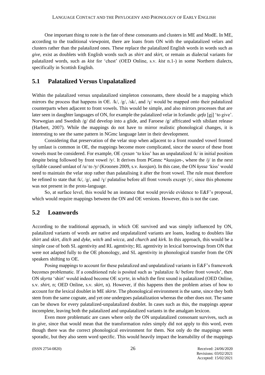One important thing to note is the fate of these consonants and clusters in ME and ModE. In ME, according to the traditional viewpoint, there are loans from ON with the unpalatalized velars and clusters rather than the palatalized ones. These replace the palatalized English words in words such as *give*, exist as doublets with English words such as *shirt* and *skirt*, or remain as dialectal variants for palatalized words, such as *kist* for 'chest' (OED Online, s.v. *kist* n.1-) in some Northern dialects, specifically in Scottish English.

#### **5.1 Palatalized Versus Unpalatalized**

Within the palatalized versus unpalatalized simpleton consonants, there should be a mapping which mirrors the process that happens in OE. /k/, /g/, /sk/, and /y/ would be mapped onto their palatalized counterparts when adjacent to front vowels. This would be simple, and also mirrors processes that are later seen in daughter languages of ON, for example the palatalized velar in Icelandic *gefa* [gj] 'to give'. Norwegian and Swedish /g/ did develop into a glide, and Faroese /g/ affricated with sibilant release (Harbert, 2007). While the mappings do not have to mirror realistic phonological changes, it is interesting to see the same pattern in NGmc language later in their development.

Considering that preservation of the velar stop when adjacent to a front rounded vowel fronted by umlaut is common in OE, the mappings become more complicated, since the source of these front vowels must be considered. For example, OE *cyssan* 'to kiss' has an unpalatalized /k/ in initial position despite being followed by front vowel /y/. It derives from PGmnc \**kussjan*-, where the /j/ in the next syllable caused umlaut of /u/ to /y/ (Kroonen 2009, s.v. *kussjan*). In this case, the ON *kyssa* 'kiss' would need to maintain the velar stop rather than palatalising it after the front vowel. The rule must therefore be refined to state that /k/, /g/, and /y/ palatalise before all front vowels except /y/, since this phoneme was not present in the proto-language.

So, at surface level, this would be an instance that would provide evidence to E&F's proposal, which would require mappings between the ON and OE versions. However, this is not the case.

### **5.2 Loanwords**

According to the traditional approach, in which OE survived and was simply influenced by ON, palatalized variants of words are native and unpalatalized variants are loans, leading to doublets like *shirt* and *skirt*, *ditch* and *dyke*, *witch* and *wicca*, and *church* and *kirk*. In this approach, this would be a simple case of both SL agentivity and RL agentivity; RL agentivity in lexical borrowings from ON that were not adapted fully to the OE phonology, and SL agentivity in phonological transfer from the ON speakers shifting to OE.

Posing mappings to account for these palatalized and unpalatalized variants in E&F's framework becomes problematic. If a conditioned rule is posited such as 'palatalize /k/ before front vowels', then ON *skyrta* 'shirt' would indeed become OE *scyrte*, in which the first sound is palatalized (OED Online, s.v. *shirt*, n; OED Online, s.v. *skirt*, n). However, if this happens then the problem arises of how to account for the lexical doublet in ME *skirte*. The phonological environment is the same, since they both stem from the same cognate, and yet one undergoes palatalization whereas the other does not. The same can be shown for every palatalized-unpalatalized doublet. In cases such as this, the mappings appear incomplete, leaving both the palatalized and unpalatalized variants in the amalgam lexicon.

Even more problematic are cases where only the ON unpalatalized consonant survives, such as in *give*, since that would mean that the transformation rules simply did not apply to this word, even though there was the correct phonological environment for them. Not only do the mappings seem sporadic, but they also seem word specific. This would heavily impact the learnability of the mappings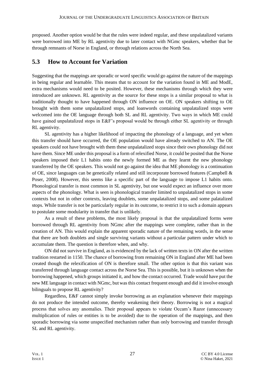proposed. Another option would be that the rules were indeed regular, and these unpalatalized variants were borrowed into ME by RL agentivity due to later contact with NGmc speakers, whether that be through remnants of Norse in England, or through relations across the North Sea.

## **5.3 How to Account for Variation**

Suggesting that the mappings are sporadic or word specific would go against the nature of the mappings in being regular and learnable. This means that to account for the variation found in ME and ModE, extra mechanisms would need to be posited. However, these mechanisms through which they were introduced are unknown. RL agentivity as the source for these stops is a similar proposal to what is traditionally thought to have happened through ON influence on OE. ON speakers shifting to OE brought with them some unpalatalized stops, and loanwords containing unpalatalized stops were welcomed into the OE language through both SL and RL agentivity. Two ways in which ME could have gained unpalatalized stops in E&F's proposal would be through either SL agentivity or through RL agentivity.

SL agentivity has a higher likelihood of impacting the phonology of a language, and yet when this transfer should have occurred, the OE population would have already switched to AN. The OE speakers could not have brought with them these unpalatalized stops since their own phonology did not have them. Since ME under this proposal is a form of relexified Norse, it could be posited that the Norse speakers imposed their L1 habits onto the newly formed ME as they learnt the new phonology transferred by the OE speakers. This would not go against the idea that ME phonology is a continuation of OE, since languages can be genetically related and still incorporate borrowed features (Campbell & Poser, 2008). However, this seems like a specific part of the language to impose L1 habits onto. Phonological transfer is most common in SL agentivity, but one would expect an influence over more aspects of the phonology. What is seen is phonological transfer limited to unpalatalized stops in some contexts but not in other contexts, leaving doublets, some unpalatalized stops, and some palatalized stops. While transfer is not be particularly regular in its outcome, to restrict it to such a domain appears to postulate some modularity in transfer that is unlikely.

As a result of these problems, the most likely proposal is that the unpalatalized forms were borrowed through RL agentivity from NGmc after the mappings were complete, rather than in the creation of AN. This would explain the apparent sporadic nature of the remaining words, in the sense that there are both doublets and single surviving variants without a particular pattern under which to accumulate them. The question is therefore when, and why.

ON did not survive in England, as is evidenced by the lack of written texts in ON after the written tradition restarted in 1150. The chance of borrowing from remaining ON in England after ME had been created though the relexification of ON is therefore small. The other option is that this variant was transferred through language contact across the Norse Sea. This is possible, but it is unknown when the borrowing happened, which groups initiated it, and how the contact occurred. Trade would have put the new ME language in contact with NGmc, but was this contact frequent enough and did it involve enough bilinguals to propose RL agentivity?

Regardless, E&F cannot simply invoke borrowing as an explanation whenever their mappings do not produce the intended outcome, thereby weakening their theory. Borrowing is not a magical process that solves any anomalies. Their proposal appears to violate Occam's Razor (unnecessary multiplication of rules or entities is to be avoided) due to the operation of the mappings, and then sporadic borrowing via some unspecified mechanism rather than only borrowing and transfer through SL and RL agentivity.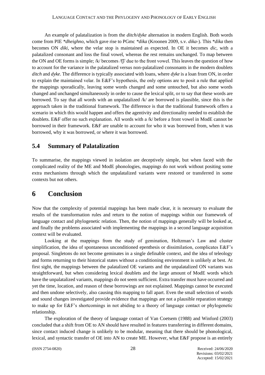An example of palatalization is from the *ditch/dyke* alternation in modern English. Both words come from PIE *\*dheighno*, which gave rise to PGmc *\*dika* (Kroonen 2009, s.v. *dika*-). This *\*dika* then becomes ON *diki*, where the velar stop is maintained as expected. In OE it becomes *dic*, with a palatalized consonant and loss the final vowel, whereas the rest remains unchanged. To map between the ON and OE forms is simple; /k/ becomes /͡tʃ/ due to the front vowel. This leaves the question of how to account for the variance in the palatalized versus non-palatalized consonants in the modern doublets *ditch* and *dyke*. The difference is typically associated with loans, where *dyke* is a loan from ON, in order to explain the maintained velar. In E&F's hypothesis, the only options are to posit a rule that applied the mappings sporadically, leaving some words changed and some untouched, but also some words changed and unchanged simultaneously in order to cause the lexical split, or to say that these words are borrowed. To say that all words with an unpalatalized /k/ are borrowed is plausible, since this is the approach taken in the traditional framework. The difference is that the traditional framework offers a scenario in which this would happen and offers the agentivity and directionality needed to establish the doublets. E&F offer no such explanation. All words with a /k/ before a front vowel in ModE cannot be borrowed in their framework. E&F are unable to account for who it was borrowed from, when it was borrowed, why it was borrowed, or where it was borrowed.

## **5.4 Summary of Palatalization**

To summarise, the mappings viewed in isolation are deceptively simple, but when faced with the complicated reality of the ME and ModE phonologies, mappings do not work without positing some extra mechanisms through which the unpalatalized variants were restored or transferred in some contexts but not others.

## **6 Conclusion**

Now that the complexity of potential mappings has been made clear, it is necessary to evaluate the results of the transformation rules and return to the notion of mappings within our framework of language contact and phylogenetic relation. Then, the notion of mappings generally will be looked at, and finally the problems associated with implementing the mappings in a second language acquisition context will be evaluated.

Looking at the mappings from the study of gemination, Holtzman's Law and cluster simplification, the idea of spontaneous unconditioned epenthesis or dissimilation, complicates E&F's proposal. Singletons do not become geminates in a single definable context, and the idea of teleology and forms returning to their historical states without a conditioning environment is unlikely at best. At first sight, the mappings between the palatalized OE variants and the unpalatalized ON variants was straightforward, but when considering lexical doublets and the large amount of ModE words which have the unpalatalized variants, mappings do not seem sufficient. Extra transfer must have occurred and yet the time, location, and reason of these borrowings are not explained. Mappings cannot be executed and then undone selectively, also causing this mapping to fall apart. Even the small selection of words and sound changes investigated provide evidence that mappings are not a plausible reparation strategy to make up for E&F's shortcomings in not abiding to a theory of language contact or phylogenetic relationship.

The exploration of the theory of language contact of Van Coetsem (1988) and Winford (2003) concluded that a shift from OE to AN should have resulted in features transferring in different domains, since contact induced change is unlikely to be modular, meaning that there should be phonological, lexical, and syntactic transfer of OE into AN to create ME. However, what E&F propose is an entirely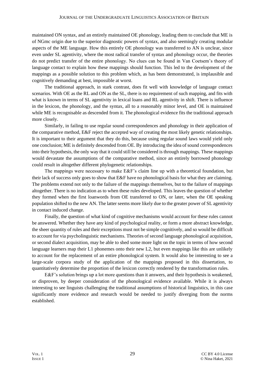maintained ON syntax, and an entirely maintained OE phonology, leading them to conclude that ME is of NGmc origin due to the superior diagnostic powers of syntax, and also seemingly creating modular aspects of the ME language. How this entirely OE phonology was transferred to AN is unclear, since even under SL agentivity, where the most radical transfer of syntax and phonology occur, the theories do not predict transfer of the entire phonology. No clues can be found in Van Coetsem's theory of language contact to explain how these mappings should function. This led to the development of the mappings as a possible solution to this problem which, as has been demonstrated, is implausible and cognitively demanding at best, impossible at worst.

The traditional approach, in stark contrast, does fit well with knowledge of language contact scenarios. With OE as the RL and ON as the SL, there is no requirement of such mapping, and fits with what is known in terms of SL agentivity in lexical loans and RL agentivity in shift. There is influence in the lexicon, the phonology, and the syntax, all to a reasonably minor level, and OE is maintained while ME is recognisable as descended from it. The phonological evidence fits the traditional approach more closely.

Similarly, in failing to use regular sound correspondences and phonology in their application of the comparative method, E&F reject the accepted way of creating the most likely genetic relationships. It is important to their argument that they do this, because using regular sound laws would yield only one conclusion; ME is definitely descended from OE. By introducing the idea of sound correspondences into their hypothesis, the only way that it could still be considered is through mappings. These mappings would devastate the assumptions of the comparative method, since an entirely borrowed phonology could result in altogether different phylogenetic relationships.

The mappings were necessary to make E&F's claim line up with a theoretical foundation, but their lack of success only goes to show that E&F have no phonological basis for what they are claiming. The problems extend not only to the failure of the mappings themselves, but to the failure of mappings altogether. There is no indication as to when these rules developed. This leaves the question of whether they formed when the first loanwords from OE transferred to ON, or later, when the OE speaking population shifted to the new AN. The latter seems more likely due to the greater power of SL agentivity in contact induced change.

Finally, the question of what kind of cognitive mechanisms would account for these rules cannot be answered. Whether they have any kind of psychological reality, or form a more abstract knowledge, the sheer quantity of rules and their exceptions must not be simple cognitively, and so would be difficult to account for via psycholinguistic mechanisms. Theories of second language phonological acquisition, or second dialect acquisition, may be able to shed some more light on the topic in terms of how second language learners map their L1 phonemes onto their new L2, but even mappings like this are unlikely to account for the replacement of an entire phonological system. It would also be interesting to see a large-scale corpora study of the application of the mappings proposed in this dissertation, to quantitatively determine the proportion of the lexicon correctly rendered by the transformation rules.

E&F's solution brings up a lot more questions than it answers, and their hypothesis is weakened, or disproven, by deeper consideration of the phonological evidence available. While it is always interesting to see linguists challenging the traditional assumptions of historical linguistics, in this case significantly more evidence and research would be needed to justify diverging from the norms established.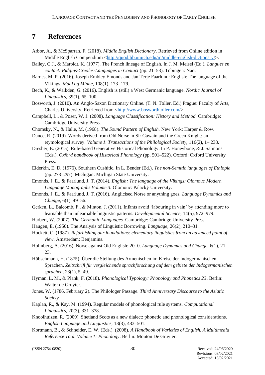## **7 References**

- Arbor, A., & McSparran, F. (2018). *Middle English Dictionary*. Retrieved from Online edition in Middle English Compendium  $\langle$ http://quod.lib.umich.edu/m/middle-english-dictionary/ $>$ .
- Bailey, C.J., & Maroldt, K. (1977). The French lineage of English. In J. M. Meisel (Ed.), *Langues en contact: Pidgins-Creoles-Languages in Contact* (pp. 21–53). Tübingen: Narr.
- Barnes, M. P. (2016). Joseph Embley Emonds and Jan Terje Faarlund: English: The language of the Vikings. *Maal og Minne,* 108(1), 173−179.
- Bech, K., & Walkden, G. (2016). English is (still) a West Germanic language. *Nordic Journal of Linguistics,* 39(1), 65–100.
- Bosworth, J. (2010). An Anglo-Saxon Dictionary Online. (T. N. Toller, Ed.) Prague: Faculty of Arts, Charles University. Retrieved from [<http://www.bosworthtoller.com/>](http://www.bosworthtoller.com/).
- Campbell, L., & Poser, W. J. (2008). *Language Classification: History and Method.* Cambridge: Cambridge University Press.
- Chomsky, N., & Halle, M. (1968). *The Sound Pattern of English.* New York: Harper & Row.
- Dance, R. (2019). Words derived from Old Norse in Sir Gawain and the Green Knight: an etymological survey. *Volume 1. Transactions of the Philological Society,* 116(2), 1– 238.
- Dresher, E. (2015). Rule-based Generative Historical Phonology. In P. Honeybone, & J. Salmons (Eds.), *Oxford handbook of Historical Phonology* (pp. 501–522). Oxford: Oxford University Press.
- Elderkin, E. D. (1976). Southern Cushitic. In L. Bender (Ed.), *The non-Semitic languages of Ethiopia* (pp. 278–297). Michigan: Michigan State University.
- Emonds, J. E., & Faarlund, J. T. (2014). *English: The language of the Vikings: Olomouc Modern Language Monographs Volume 3.* Olomouc: Palacký University.
- Emonds, J. E., & Faarlund, J. T. (2016). Anglicised Norse or anything goes. *Language Dynamics and Change,* 6(1), 49–56.
- Gerken, L., Balcomb, F., & Minton, J. (2011). Infants avoid 'labouring in vain' by attending more to learnable than unlearnable linguistic patterns. *Developmental Science,* 14(5), 972–979.
- Harbert, W. (2007). *The Germanic Languages.* Cambridge: Cambridge University Press.
- Haugen, E. (1950). The Analysis of Linguistic Borrowing. *Language,* 26(2), 210–31.
- Hockett, C. (1987). *Refurbishing our foundations: elementary linguistics from an advanced point of view*. Amsterdam: Benjamins.
- Holmberg, A. (2016). Norse against Old English: 20–0. *Language Dynamics and Change,* 6(1), 21– 23.
- Hübschmann, H. (1875). Über die Stellung des Armenischen im Kreise der Indogermanischen Sprachen. *Zeitschrift für vergleichende sprachforschung auf dem gebiete der Indogermanischen sprachen,* 23(1), 5–49.
- Hyman, L. M., & Plank, F. (2018). *Phonological Typology: Phonology and Phonetics 23*. Berlin: Walter de Gruyter.
- Jones, W. (1786, February 2). The Philologer Passage. *Third Anniversary Discourse to the Asiatic Society*.
- Kaplan, R., & Kay, M. (1994). Regular models of phonological rule systems. *Computational Linguistics,* 20(3), 331–378.
- Knooihuizen, R. (2009). Shetland Scots as a new dialect: phonetic and phonological considerations. *English Language and Linguistics,* 13(3), 483–501.
- Kortmann, B., & Schneider, E. W. (Eds.). (2008). *A Handbook of Varieties of English. A Multimedia Reference Tool. Volume 1: Phonology*. Berlin: Mouton De Gruyter.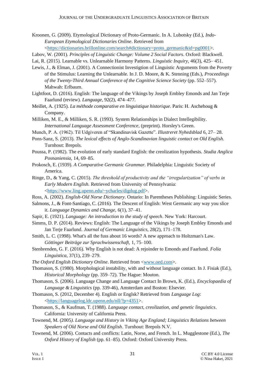- Kroonen, G. (2009). Etymological Dictionary of Proto-Germanic. In A. Lubotsky (Ed.), *Indo-European Etymological Dictionaries Online*. Retrieved from [<https://dictionaries.brillonline.com/search#dictionary=proto\\_germanic&id=pg0001>](https://dictionaries.brillonline.com/search#dictionary=proto_germanic&id=pg0001).
- Labov, W. (2001). *Principles of Linguistic Change: Volume 2 Social Factors*. Oxford: Blackwell.

Lai, R. (2015). Learnable vs. Unlearnable Harmony Patterns. *Linguistic Inquiry,* 46(3), 425– 451.

- Lewis, J., & Elman, J. (2001). A Connectionist Investigtion of Linguistic Arguments from the Poverty of the Stimulus: Learning the Unlearnable. In J. D. Moore, & K. Stenning (Eds.), *Proceedings of the Twenty-Third Annual Conference of the Cognitive Science Society* (pp. 552–557). Mahwah: Erlbaum.
- Lightfoot, D. (2016). English: The language of the Vikings by Joseph Embley Emonds and Jan Terje Faarlund (review). *Language,* 92(2), 474–477.
- Meillet, A. (1925). *La méthode comparative en linguistique historique*. Paris: H. Aschehoug & Company.
- Milliken, M. E., & Milliken, S. R. (1993). System Relationships in Dialect Intellegibility. *International Language Assessment Conference*, (preprint). Horsley's Green.
- Munch, P. A. (1962). Til Udgiveren af "Skandinavisk Gazette". *Illustreret Nyhedsblad* 6, 27– 28.
- Pons-Sanz, S. (2013). *The lexical effects of Anglo-Scandinavian linguistic contact on Old English.* Turnhout: Brepols.
- Poussa, P. (1982). The evolution of early standard English: the creolization hypothesis. *Studia Anglica Posnaniensia,* 14, 69–85.
- Prokosch, E. (1939). *A Comparative Germanic Grammar.* Philadelphia: Linguistic Society of America.
- Ringe, D., & Yang, C. (2015). *The threshold of productivity and the "irregularization" of verbs in Early Modern English.* Retrieved from University of Pennsylvania: [<https://www.ling.upenn.edu/~ycharles/digdug.pdf>](https://www.ling.upenn.edu/~ycharles/digdug.pdf).
- Ross, A. (2002). *English-Old Norse Dictionary*. Ontario: In Parentheses Publishing: Linguistic Series.
- Salmons, J., & Font-Santiago, C. (2016). The Descent of English: West Germanic any way you slice it. *Language Dynamics and Change,* 6(1), 37–41.
- Sapir, E. (1921). *Language: An introduction to the study of speech*. New York: Harcourt.
- Simms, D. P. (2014). Reviews: English: The Language of the Vikings by Joseph Embley Emonds and Jan Terje Faarlund. *Journal of Germanic Linguistics,* 28(2), 171–178.
- Smith, L. C. (1998). What's all the fuss about 16 words? A new approach to Holtzman's Law. *Göttinger Beiträge zur Sprachwissenschaft,* 1, 75–100.
- Stenbrenden, G. F. (2016). Why English is not dead: A rejoinder to Emonds and Faarlund. *Folia Linguistica,* 37(1), 239–279.
- *The Oxford English Dictionary Online*. Retrieved from [<www.oed.com>](http://www.oed.com/).
- Thomason, S. (1980). Morphological instability, with and without language contact. In J. Fisiak (Ed.), *Historical Morphology* (pp. 359–72). The Hague: Mouton.
- Thomason, S. (2006). Language Change and Language Contact In Brown, K. (Ed.), *Encyclopaedia of Language & Linguistics* (pp. 339-46), Amsterdam and Boston: Elsevier.
- Thomason, S. (2012, December 4). English or Englsk? Retrieved from *Language Log*: [<https://languagelog.ldc.upenn.edu/nll/?p=4351>](https://languagelog.ldc.upenn.edu/nll/?p=4351).
- Thomason, S., & Kaufman, T. (1988). *Language contact, creolization, and genetic linguistics*. California: University of California Press.
- Townend, M. (2005*). Language and History in Viking Age England; Linguistics Relations between Speakers of Old Norse and Old English*. Turnhout: Brepols N.V.
- Townend, M. (2006). Contacts and conflicts: Latin, Norse, and French. In L. Mugglestone (Ed.), *The Oxford History of English* (pp. 61–85). Oxford: Oxford University Press.